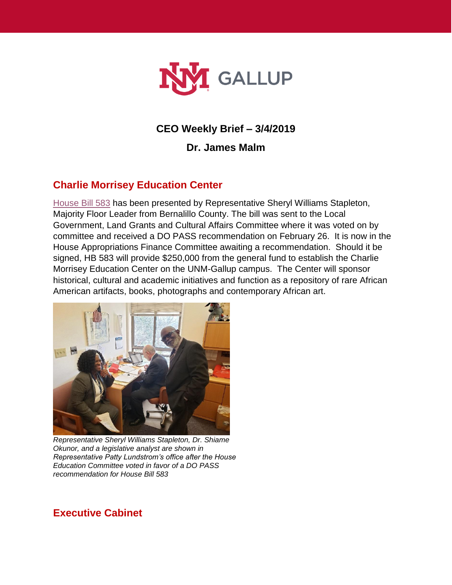

# **CEO Weekly Brief – 3/4/2019**

**Dr. James Malm**

# **Charlie Morrisey Education Center**

[House Bill 583](https://www.nmlegis.gov/Sessions/19%20Regular/bills/house/HB0583.pdf) has been presented by Representative Sheryl Williams Stapleton, Majority Floor Leader from Bernalillo County. The bill was sent to the Local Government, Land Grants and Cultural Affairs Committee where it was voted on by committee and received a DO PASS recommendation on February 26. It is now in the House Appropriations Finance Committee awaiting a recommendation. Should it be signed, HB 583 will provide \$250,000 from the general fund to establish the Charlie Morrisey Education Center on the UNM-Gallup campus. The Center will sponsor historical, cultural and academic initiatives and function as a repository of rare African American artifacts, books, photographs and contemporary African art.



*Representative Sheryl Williams Stapleton, Dr. Shiame Okunor, and a legislative analyst are shown in Representative Patty Lundstrom's office after the House Education Committee voted in favor of a DO PASS recommendation for House Bill 583*

## **Executive Cabinet**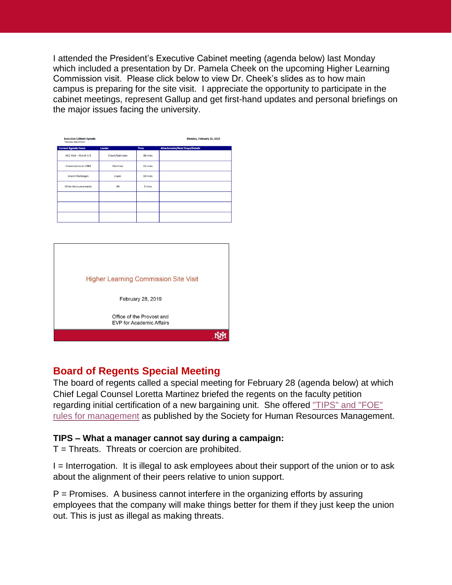I attended the President's Executive Cabinet meeting (agenda below) last Monday which included a presentation by Dr. Pamela Cheek on the upcoming Higher Learning Commission visit. Please click below to view Dr. Cheek's slides as to how main campus is preparing for the site visit. I appreciate the opportunity to participate in the cabinet meetings, represent Gallup and get first-hand updates and personal briefings on the major issues facing the university.

| <b>Executive Cabinet Agenda</b><br>*denotes attachment |                |             | Monday, February 25, 2019             |
|--------------------------------------------------------|----------------|-------------|---------------------------------------|
| <b>Current Agenda Items</b>                            | Leader         | <b>Time</b> | <b>Attachments/Next Steps/Details</b> |
| HLC Visit - March 1-5                                  | Cheek/Suilmann | 30 mins     |                                       |
| <b>Unionization at UNM</b>                             | Martinez       | 15 mins     |                                       |
| <b>Grand Challenges</b>                                | Lopez          | 10 mins     |                                       |
| <b>Other Announcements</b>                             | All            | 5 mins      |                                       |
|                                                        |                |             |                                       |
|                                                        |                |             |                                       |
|                                                        |                |             |                                       |

| <b>Higher Learning Commission Site Visit</b>                 |  |
|--------------------------------------------------------------|--|
| February 28, 2019                                            |  |
| Office of the Provost and<br><b>EVP for Academic Affairs</b> |  |
|                                                              |  |

# **Board of Regents Special Meeting**

The board of regents called a special meeting for February 28 (agenda below) at which Chief Legal Counsel Loretta Martinez briefed the regents on the faculty petition regarding initial certification of a new bargaining unit. She offered ["TIPS" and "FOE"](https://www.shrm.org/resourcesandtools/hr-topics/labor-relations/pages/tips-foe.aspx)  [rules for management](https://www.shrm.org/resourcesandtools/hr-topics/labor-relations/pages/tips-foe.aspx) as published by the Society for Human Resources Management.

### **TIPS – What a manager cannot say during a campaign:**

 $T =$ Threats. Threats or coercion are prohibited.

I = Interrogation. It is illegal to ask employees about their support of the union or to ask about the alignment of their peers relative to union support.

 $P =$  Promises. A business cannot interfere in the organizing efforts by assuring employees that the company will make things better for them if they just keep the union out. This is just as illegal as making threats.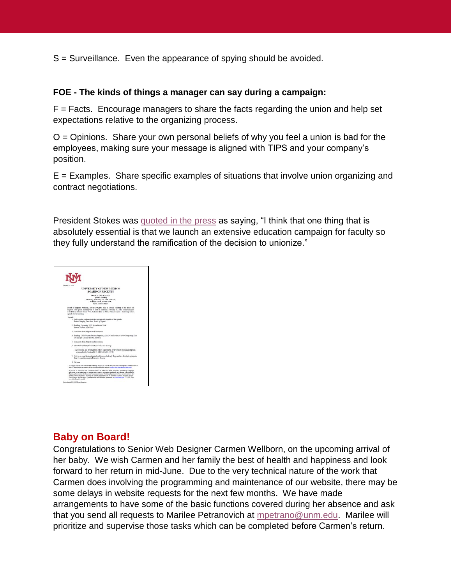S = Surveillance. Even the appearance of spying should be avoided.

#### **FOE - The kinds of things a manager can say during a campaign:**

 $F =$  Facts. Encourage managers to share the facts regarding the union and help set expectations relative to the organizing process.

 $O =$  Opinions. Share your own personal beliefs of why you feel a union is bad for the employees, making sure your message is aligned with TIPS and your company's position.

 $E =$  Examples. Share specific examples of situations that involve union organizing and contract negotiations.

President Stokes was [quoted in the press](http://ejournal.abqjournal.com/infinity/article_popover_share.aspx?guid=04a76363-67ba-4eff-858a-b5cc79834159) as saying, "I think that one thing that is absolutely essential is that we launch an extensive education campaign for faculty so they fully understand the ramification of the decision to unionize."



### **Baby on Board!**

Congratulations to Senior Web Designer Carmen Wellborn, on the upcoming arrival of her baby. We wish Carmen and her family the best of health and happiness and look forward to her return in mid-June. Due to the very technical nature of the work that Carmen does involving the programming and maintenance of our website, there may be some delays in website requests for the next few months. We have made arrangements to have some of the basic functions covered during her absence and ask that you send all requests to Marilee Petranovich at [mpetrano@unm.edu.](mailto:mpetrano@unm.edu) Marilee will prioritize and supervise those tasks which can be completed before Carmen's return.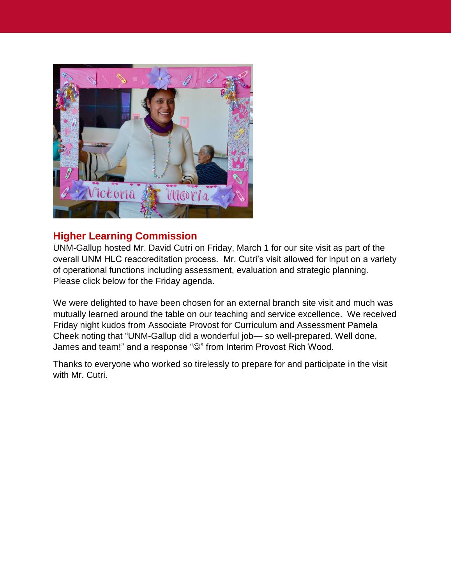

## **Higher Learning Commission**

UNM-Gallup hosted Mr. David Cutri on Friday, March 1 for our site visit as part of the overall UNM HLC reaccreditation process. Mr. Cutri's visit allowed for input on a variety of operational functions including assessment, evaluation and strategic planning. Please click below for the Friday agenda.

We were delighted to have been chosen for an external branch site visit and much was mutually learned around the table on our teaching and service excellence. We received Friday night kudos from Associate Provost for Curriculum and Assessment Pamela Cheek noting that "UNM-Gallup did a wonderful job— so well-prepared. Well done, James and team!" and a response " $\odot$ " from Interim Provost Rich Wood.

Thanks to everyone who worked so tirelessly to prepare for and participate in the visit with Mr. Cutri.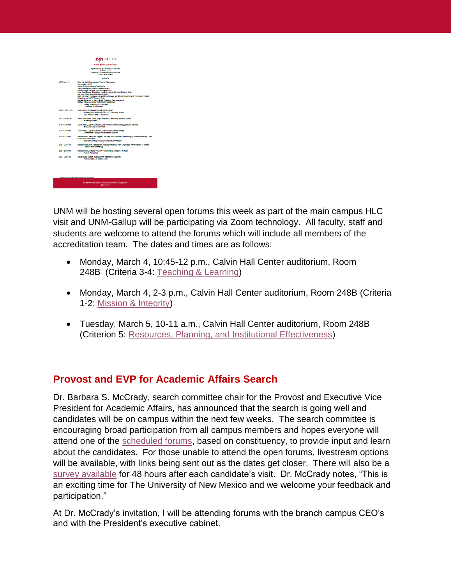|                                                   | GALLUP                                                                                                                                                                              |  |
|---------------------------------------------------|-------------------------------------------------------------------------------------------------------------------------------------------------------------------------------------|--|
|                                                   | <b>Chief Executive Officer</b>                                                                                                                                                      |  |
|                                                   | Higher Learning Commission Site Visit<br>March 1, 2019                                                                                                                              |  |
|                                                   | <b>Frequence Contenence Room GH 1216</b><br>Gallup, New Mexico                                                                                                                      |  |
|                                                   | <b>AGENDA</b>                                                                                                                                                                       |  |
| $1020 - 1115$                                     | Meet the UNMG Leadership Team & Discussions                                                                                                                                         |  |
|                                                   | James Maim, CEO<br>Daniel Primozic, Dean of Instruction                                                                                                                             |  |
|                                                   | Javine MoMahon, Director Student Ariairs<br>Robert Griego, Director Business Operations                                                                                             |  |
|                                                   | Irene Den Blevker, Education, Health & Human Services Division Chair                                                                                                                |  |
|                                                   | Joe Kee, Arts & Sciences Division Chair<br>Mark Remitard, Business & Applied Technology, Workforce Development, Community Based                                                     |  |
|                                                   | Friunation and CCTF Division Chair<br>Mariee Petranovich, Senior Public Relations Representative                                                                                    |  |
|                                                   | Britlany Babycos, Senior Institutional Researcher                                                                                                                                   |  |
|                                                   | . History, Planning and Oversight<br>· Continuous Improvement                                                                                                                       |  |
| $1125 - 1220$ AM                                  | Tour Campus & Classrooms with James Malm                                                                                                                                            |  |
|                                                   | Nursing Sim-Lab Room 105 & 107 class ends at noon<br>. EMT Health Caneers I Room 117                                                                                                |  |
| 12:30 - 1:00 PM                                   | Lunch with James Malm. Raigh Richards, Chair Local Advisory Board<br>· Academy Kitchen                                                                                              |  |
| $1:10 - 1:30$ PM                                  | James Maim, Jayme McMahon, Dan Primozic, Robert Griego, Entfany Babycos<br>· Evaluation and Assessment                                                                              |  |
| $120 - 120$ PM                                    | James Maim, Jayme McMahon, Dan Primozic, Robert Griego<br>Student and Faculty Resources and Support<br>٠                                                                            |  |
| $150 - 210$ PM                                    | Dan Primozic, Irene Den Bleyker, Joe Kee, Mark Remitard, Maft Mingus, Professor History, Chair<br><b>Curticulum Committee</b><br>· Educational Programs and Instructional Oversight |  |
| 2:15 - 2:30 PM                                    | Robert Griego, Ron Petranovich, Manager Physical Plant & Facilities; Ann Swancer, IT Officer<br>· Facilities and Technology                                                         |  |
| 2:30 = 2:50 PM                                    | Robert Griego, Yatisha Yoe, HR Tech: Virginia Johnson, HR Tech<br>· Human Resources                                                                                                 |  |
| $250 - 300 - 24$                                  | Bobbi Padila, Major - Management Information Systems<br>· Recresentative of student body                                                                                            |  |
|                                                   |                                                                                                                                                                                     |  |
|                                                   |                                                                                                                                                                                     |  |
|                                                   |                                                                                                                                                                                     |  |
|                                                   |                                                                                                                                                                                     |  |
| A CORRESPONDENT MARINE CARRIED FOR DISCUSSION CAR |                                                                                                                                                                                     |  |
|                                                   |                                                                                                                                                                                     |  |

UNM will be hosting several open forums this week as part of the main campus HLC visit and UNM-Gallup will be participating via Zoom technology. All faculty, staff and students are welcome to attend the forums which will include all members of the accreditation team. The dates and times are as follows:

- Monday, March 4, 10:45-12 p.m., Calvin Hall Center auditorium, Room 248B (Criteria 3-4: [Teaching & Learning\)](https://www.hlcommission.org/Policies/criteria-and-core-components.html)
- Monday, March 4, 2-3 p.m., Calvin Hall Center auditorium, Room 248B (Criteria 1-2: [Mission & Integrity\)](https://www.hlcommission.org/Policies/criteria-and-core-components.html)
- Tuesday, March 5, 10-11 a.m., Calvin Hall Center auditorium, Room 248B (Criterion 5: [Resources, Planning, and Institutional Effectiveness\)](https://www.hlcommission.org/Policies/criteria-and-core-components.html)

# **Provost and EVP for Academic Affairs Search**

Dr. Barbara S. McCrady, search committee chair for the Provost and Executive Vice President for Academic Affairs, has announced that the search is going well and candidates will be on campus within the next few weeks. The search committee is encouraging broad participation from all campus members and hopes everyone will attend one of the [scheduled forums,](https://executivesearch.unm.edu/provost-and-evp-for-academic-affairs/on-campus-candidate-interviews.html) based on constituency, to provide input and learn about the candidates. For those unable to attend the open forums, livestream options will be available, with links being sent out as the dates get closer. There will also be a [survey available](https://executivesearch.unm.edu/provost-and-evp-for-academic-affairs/index.html) for 48 hours after each candidate's visit. Dr. McCrady notes, "This is an exciting time for The University of New Mexico and we welcome your feedback and participation."

At Dr. McCrady's invitation, I will be attending forums with the branch campus CEO's and with the President's executive cabinet.